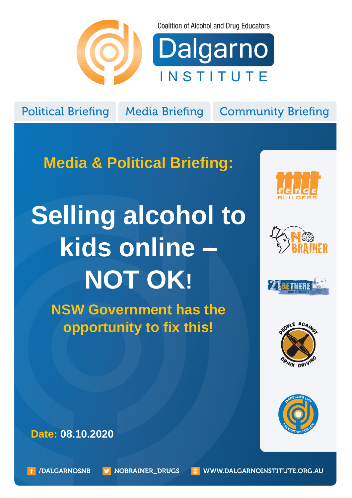

**Coalition of Alcohol and Drug Educators** 

Dalgarno INSTITUTE

**Political Briefing** 

**Media Briefing** 

**Community Briefing** 

**Media & Political Briefing:**

## **Selling alcohol to kids online – NOT OK!**

**NSW Government has the opportunity to fix this!**











**Date: 08.10.2020**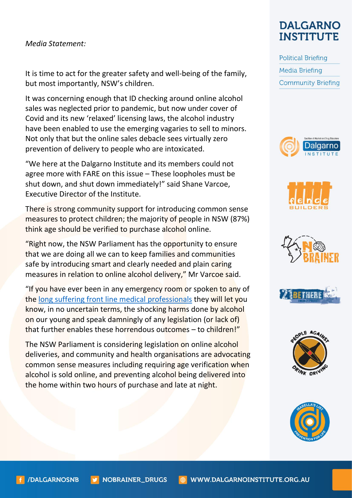## *Media Statement:*

It is time to act for the greater safety and well-being of the family, but most importantly, NSW's children.

It was concerning enough that ID checking around online alcohol sales was neglected prior to pandemic, but now under cover of Covid and its new 'relaxed' licensing laws, the alcohol industry have been enabled to use the emerging vagaries to sell to minors. Not only that but the online sales debacle sees virtually zero prevention of delivery to people who are intoxicated.

"We here at the Dalgarno Institute and its members could not agree more with FARE on this issue – These loopholes must be shut down, and shut down immediately!" said Shane Varcoe, Executive Director of the Institute.

There is strong community support for introducing common sense measures to protect children; the majority of people in NSW (87%) think age should be verified to purchase alcohol online.

"Right now, the NSW Parliament has the opportunity to ensure that we are doing all we can to keep families and communities safe by introducing smart and clearly needed and plain caring measures in relation to online alcohol delivery," Mr Varcoe said.

"If you have ever been in any emergency room or spoken to any of the [long suffering front line medical professionals](http://www.greaterrisk.com/EnoughEnoughBrochureACEM.pdf) they will let you know, in no uncertain terms, the shocking harms done by alcohol on our young and speak damningly of any legislation (or lack of) that further enables these horrendous outcomes – to children!"

The NSW Parliament is considering legislation on online alcohol deliveries, and community and health organisations are advocating common sense measures including requiring age verification when alcohol is sold online, and preventing alcohol being delivered into the home within two hours of purchase and late at night.

## **DALGARNO INSTITUTE**

**Political Briefing Media Briefing Community Briefing**